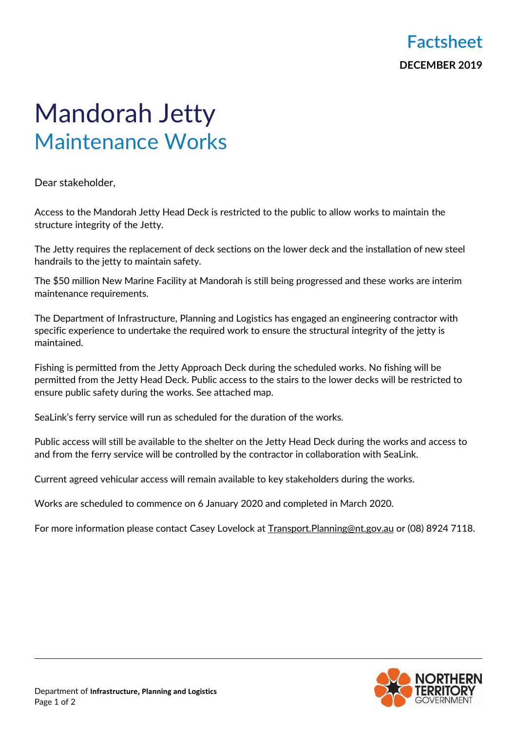## Mandorah Jetty Maintenance Works

Dear stakeholder,

Access to the Mandorah Jetty Head Deck is restricted to the public to allow works to maintain the structure integrity of the Jetty.

The Jetty requires the replacement of deck sections on the lower deck and the installation of new steel handrails to the jetty to maintain safety.

The \$50 million New Marine Facility at Mandorah is still being progressed and these works are interim maintenance requirements.

The Department of Infrastructure, Planning and Logistics has engaged an engineering contractor with specific experience to undertake the required work to ensure the structural integrity of the jetty is maintained.

Fishing is permitted from the Jetty Approach Deck during the scheduled works. No fishing will be permitted from the Jetty Head Deck. Public access to the stairs to the lower decks will be restricted to ensure public safety during the works. See attached map.

SeaLink's ferry service will run as scheduled for the duration of the works.

Public access will still be available to the shelter on the Jetty Head Deck during the works and access to and from the ferry service will be controlled by the contractor in collaboration with SeaLink.

Current agreed vehicular access will remain available to key stakeholders during the works.

Works are scheduled to commence on 6 January 2020 and completed in March 2020.

For more information please contact Casey Lovelock at [Transport.Planning@nt.gov.au](mailto:Transport.Planning@nt.gov.au) or (08) 8924 7118.